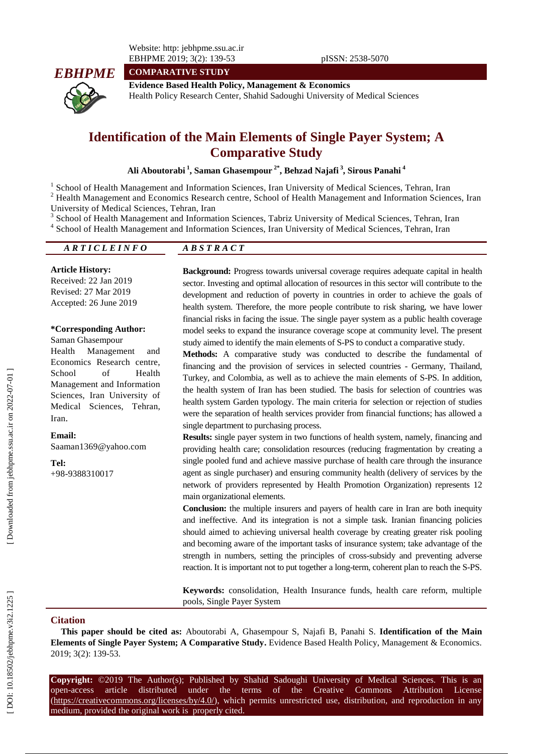Website: http: jebhpme.ssu.ac.ir EBHPME 201 9; 3(2): 139 -53 pISSN: 2538 -5070



**COMPARATIVE STUDY**

**Evidence Based Health Policy, Management & Economics** Health Policy Research Center, Shahid Sadoughi University of Medical Sciences

# **Identification of the Main Elements of Single Payer System; A Comparative Study**

**Ali Aboutorabi 1 , Saman Ghasempour 2\*, Behzad Najafi 3 , Sirous Panahi 4**

<sup>1</sup> School of Health Management and Information Sciences, Iran University of Medical Sciences, Tehran, Iran

<sup>2</sup> Health Management and Economics Research centre, School of Health Management and Information Sciences, Iran University of Medical Sciences, Tehran, Iran <sup>3</sup>

School of Health Management and Information Sciences, Tabriz University of Medical Sciences, Tehran, Iran

4 School of Health Management and Information Sciences, Iran University of Medical Sciences, Tehran, Iran

*A R T I C L E I N F O A B S T R A C T*

#### **Article History:**

Received: 2 2 Jan 201 9 Revised: 2 7 Mar 201 9 Accepted: 26 June 201 9

#### **\*Corresponding Author:**

Saman Ghasempour Health Management and Economics Research centre, School of Health Management and Information Sciences, Iran University of Medical Sciences, Tehran, Iran .

**Email:** [Saaman1369@yahoo.com](mailto:Saaman1369@yahoo.com)

**Tel:** +98 -9388310017 **Background:** Progress towards universal coverage requires adequate capital in health sector. Investing and optimal allocation of resources in this sector will contribute to the development and reduction of poverty in countries in order to achieve the goals of health system. Therefore, the more people contribute to risk sharing, we have lower financial risks in facing the issue. The single payer system as a public health coverage model seeks to expand the insurance coverage scope at community level. The present study aimed to identify the main elements of S -PS to conduct a comparative study.

**Methods:** A comparative study was conducted to describe the fundamental of financing and the provision of services in selected countries - Germany, Thailand, Turkey, and Colombia, as well as to achieve the main elements of S-PS. In addition, the health system of Iran has been studied. The basis for selection of countries was health system Garden typology. The main criteria for selection or rejection of studies were the separation of health services provider from financial functions; has allowed a single department to purchasing process.

**Results:** single payer system in two functions of health system, namely, financing and providing health care; consolidation resources (reducing fragmentation by creating a single pooled fund and achieve massive purchase of health care through the insurance agent as single purchaser) and ensuring community health (delivery of services by the network of providers represented by Health Promotion Organization) represents 12 main organizational elements.

**Conclusion:** the multiple insurers and payers of health care in Iran are both inequity and ineffective. And its integration is not a simple task. Iranian financing policies should aimed to achieving universal health coverage by creating greater risk pooling and becoming aware of the important tasks of insurance system; take advantage of the strength in numbers, setting the principles of cross -subsidy and preventing adverse reaction. It is important not to put together a long-term, coherent plan to reach the S-PS.

**Keywords:** consolidation, Health Insurance funds, health care reform, multiple pools, Single Payer System

#### **Citation**

**This paper should be cited as:** Aboutorabi A, Ghasempour S, Najafi B, Panahi S. **Identification of the Main Elements of Single Payer System; A Comparative Study.** Evidence Based Health Policy, Management & Economics. 2019; 3(2): 139-53.

**Copyright:** ©201 9 The Author(s); Published by Shahid Sadoughi University of Medical Sciences. This is an open-access -access article distributed under the terms of the Creative Commons Attribution License (https://creativecommons.org/licenses/by/4.0/), which permits unrestricted use, distribution, and reproduction in any medium, provided the original work is properly cited.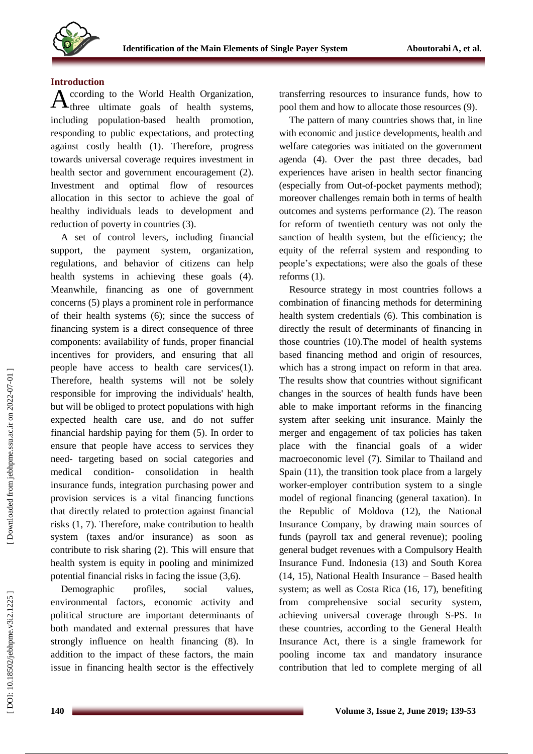

### **Introduction**

ccording to the World Health Organization, According to the World Health Organization,<br>three ultimate goals of health systems, including population -based health promotion, responding to public expectations , and protecting against costly health ( 1 ). Therefore, progress towards universal coverage requires investment in health sector and government encouragement (2). Investment and optimal flow of resources allocation in this sector to achieve the goal of healthy individuals leads to development and reduction of poverty in countries (3).

A set of control levers, including financial support, the payment system, organization, regulations , and behavior of citizens can help health systems in achieving these goals (4). Meanwhile, financing as one of government concerns (5) plays a prominent role in performance of their health systems (6); since the success of financing system is a direct consequence of three components : availability of funds, proper financial incentives for providers, and ensuring that all people have access to health care services(1) . Therefore, health systems will not be solely responsible for improving the individuals' health, but will be obliged to protect populations with high expected health care use, and do not suffer financial hardship paying for them (5). In order to ensure that people have access to services they need - targeting based on social categories and medical condition - consolidation in health insurance funds, integration purchasing power and provision services is a vital financing functions that directly related to protection against financial risks (1, 7). Therefore, make contribution to health system (taxes and/or insurance) as soon as contribute to risk sharing (2) . This will ensure that health system is equity in pooling and minimized potential financial risks in facing the issue (3,6).

Demographic profiles, social values, environmental factors, economic activity and political structure are important determinants of both mandated and external pressures that have strongly influence on health financing (8). In addition to the impact of these factors, the main issue in financing health sector is the effectively

transferring resources to insurance funds , how to pool them and how to allocate those resources (9).

The pattern of many countries shows that, in line with economic and justice developments, health and welfare categories was initiated on the government agenda (4). Over the past three decades, bad experiences have arisen in health sector financing (especially from Out -of-pocket payments method) ; moreover challenges remain both in terms of health outcomes and systems performance (2). The reason for reform of twentieth century was not only the sanction of health system, but the efficiency ; the equity of the referral system and responding to people's expectations; were also the goals of these reforms (1).

Resource strategy in most countries follows a combination of financing methods for determining health system credentials (6). This combination is directly the result of determinants of financing in those countries (10).The model of health systems based financing method and origin of resources, which has a strong impact on reform in that area. The results show that countries without significant changes in the sources of health funds have been able to make important reforms in the financing system after seeking unit insurance. Mainly the merger and engagement of tax policies has taken place with the financial goals of a wider macroeconomic level (7). Similar to Thailand and Spain (1 1), the transition took place from a largely worker -employer contribution system to a single model of regional financing (general taxation). In the Republic of Moldova (1 2), the National Insurance Company, by drawing main sources of funds (payroll tax and general revenue); pooling general budget revenues with a Compulsory Health Insurance Fund. Indonesia (1 3) and South Korea (1 4, 1 5), National Health Insurance – Based health system; as well as Costa Rica (1 6, 1 7), benefiting from comprehensive social security system, achieving universal coverage through S -PS. In these countries, according to the General Health Insurance Act, there is a single framework for pooling income tax and mandatory insurance contribution that led to complete merging of all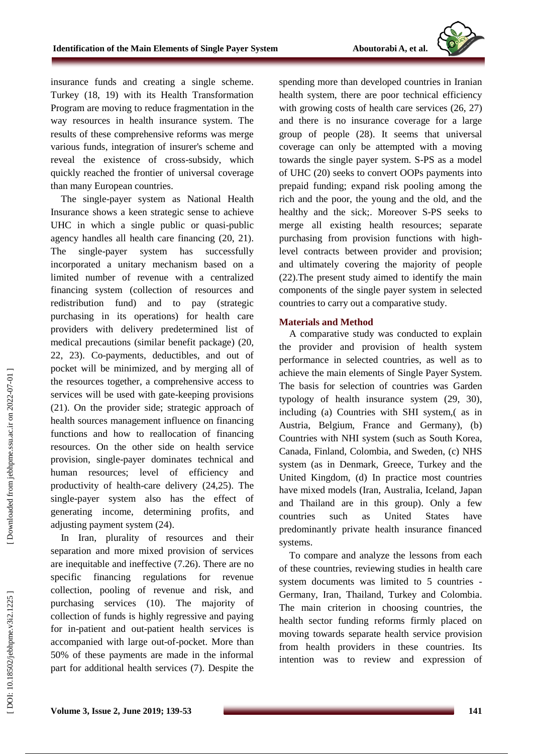insurance funds and creating a single scheme. Turkey (18, 19) with its Health Transformation Program are moving to reduce fragmentation in the way resources in health insurance system. The results of these comprehensive reforms was merge various funds, integration of insurer's scheme and reveal the existence of cross -subsidy, which quickly reached the frontier of universal coverage than many European countries.

The single -payer system as National Health Insurance shows a keen strategic sense to achieve UHC in which a single public or quasi -public agency handles all health care financing (2 0, 2 1 ). The single-payer system has successfully incorporated a unitary mechanism based on a limited number of revenue with a centralized financing system (collection of resources and redistribution fund) and to pay (strategic purchasing in its operations) for health care providers with delivery predetermined list of medical precautions (similar benefit package) (2 0, 2 2, 2 3). Co -payments, deductibles, and out of pocket will be minimized, and by merging all of the resources together, a comprehensive access to services will be used with gate -keeping provisions (2 1). On the provider side; strategic approach of health source s management influence on financing functions and how to reallocation of financing resources. On the other side on health service provision, single -payer dominates technical and human resources; level of efficiency and productivity of health-care delivery (24,25). The single -payer system also has the effect of generating income, determining profits , and adjusting payment system (2 4).

In Iran, plurality of resources and their separation and more mixed provision of services are inequitable and ineffective (7. 2 6). There are no specific financing regulations for revenue collection, pooling of revenue and risk, and purchasing services (10). The majority of collection of funds is highly regressive and paying for in -patient and out -patient health services is accompanied with large out-of-pocket. More than 50% of these payments are made in the informal part for additional health services (7). Despite the

spending more than developed countries in Iranian health system, there are poor technical efficiency with growing costs of health care services (26, 27) and there is no insurance coverage for a large group of people (2 8). It seems that universal coverage can only be attempted with a moving towards the single payer system. S -PS as a model of UHC (2 0) seeks to convert OOPs payments into prepaid funding ; expand risk pooling among the rich and the poor, the young and the old, and the healthy and the sick; . Moreover S -PS seeks to merge all existing health resources; separate purchasing from provision functions with high level contracts between provider and provision; and ultimately covering the majority of people (2 2).The present study aimed to identify the main components of the single payer system in selected countries to carry out a comparative study.

# **Materials and Method**

A comparative study was conducted to explain the provider and provision of health system performance in selected countries, as well as to achieve the main elements of Single Payer System. The basis for selection of countries was Garden typology of health insurance system (29, 30 ), including (a) Countries with SHI system,( as in Austria, Belgium, France and Germany ), ( b) Countries with NHI system (such as South Korea, Canada, Finland, Colombia , and Sweden , ( c) NHS system (as in Denmark, Greece, Turkey and the United Kingdom , (d) In practice most countries have mixed models (Iran, Australia, Iceland, Japan and Thailand are in this group) . Only a few countries such as United States have predominantly private health insurance financed systems .

T o compare and analyze the lessons from each of these countries , reviewing studies in health care system documents was limited to 5 countries - Germany, Iran, Thailand, Turkey and Colombia. The main criterion in choosing countries , the health sector funding reforms firmly placed on moving towards separate health service provision from health providers in these countries. Its intention was t o review and expression of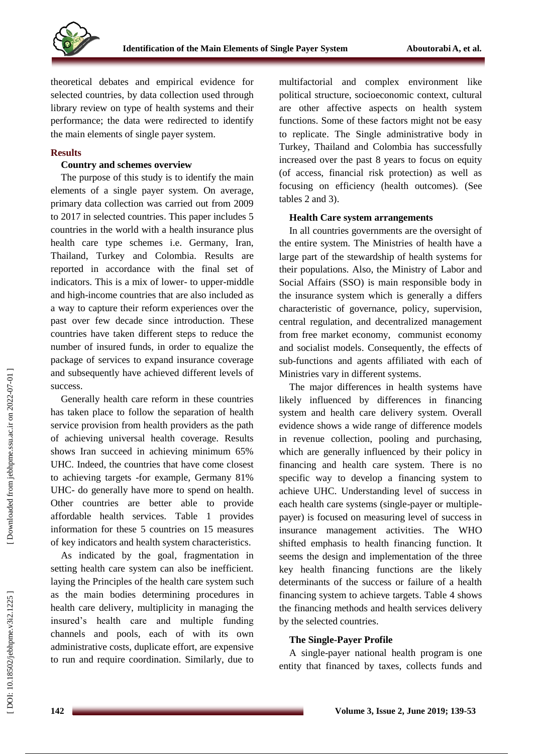

theoretical debates and empirical evidence for selected countries, by data collection used through library review on type of health systems and their performance; the data were redirected to identify the main elements of single payer system .

# **Results**

### **Country and schemes overview**

The purpose of this study is to identify the main elements of a single payer system. On average, primary data collection was carried out from 2009 to 2017 in selected countries. This paper includes 5 countries in the world with a health insurance plus health care type schemes i.e. Germany , Iran, Thailand, Turkey and Colombia. Results are reported in accordance with the final set of indicators. This is a mix of lower- to upper-middle and high -income countries that are also included as a way to capture their reform experiences over the past over few decade since introduction. These countries have taken different steps to reduce the number of insured funds, in order to equalize the package of services to expand insurance coverage and subsequently have achieved different levels of success .

Generally health care reform in these countries has taken place to follow the separation of health service provision from health providers as the path of achieving universal health coverage. Results shows Iran succeed in achieving minimum 65% UHC . Indeed, the countries that have come closest to achieving targets -for example, Germany 81% UHC - do generally have more to spend on health. Other countries are better able to provide affordable health services. Table 1 provides information for these 5 countries on 15 measures of key indicators and health system characteristics.

As indicated by the goal, fragmentation in setting health care system can also be inefficient. laying the Principles of the health care system such as the main bodies determining procedures in health care delivery, multiplicity in managing the insured's health care and multiple funding channels and pools, each of with its own administrative costs, duplicate effort, are expensive to run and require coordination. Similarly, due to

multifactorial and complex environment like political structure, socioeconomic context, cultural are other affective aspects on health system functions . Some of these factors might not be easy to replicate . The Single administrative body in Turkey, Thailand and Colombia has successfully increased over the past 8 years to focus on equity (of access, financial risk protection) as well as focusing on efficiency (health outcomes). (See tables 2 and 3).

### **Health Care system arrangements**

In all countries governments are the oversight of the entire system. The Ministries of health have a large part of the stewardship of health systems for their populations. Also, the Ministry of Labor and Social Affairs (SSO) is main responsible body in the insurance system which is generally a differs characteristic of governance, policy, supervision, central regulation, and decentralized management from free market economy, communist economy and socialist models. Consequently, the effects of sub -functions and agents affiliated with each of Ministries vary in different systems.

The major differences in health systems have likely influenced by differences in financing system and health care delivery system. Overall evidence shows a wide range of difference models in revenue collection, pooling and purchasing, which are generally influenced by their policy in financing and health care system . There is no specific way to develop a financing system to achieve UHC. Understanding level of success in each health care systems (single-payer or multiplepayer) is focused on measuring level of success in insurance management activities. The WHO shifted emphasis to health financing function. It seems the design and implementation of the three key health financing functions are the likely determinants of the success or failure of a health financing system to achieve targets. Table 4 shows the financing methods and health services delivery by the selected countries.

# **The Single -Payer Profile**

A single -payer national health program is one entity that financed by taxes, collects funds and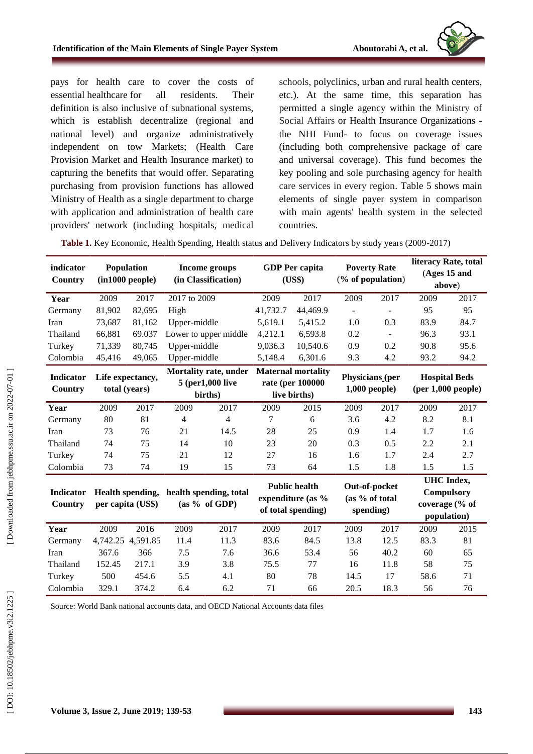

pays for health care to cover the costs of essential healthcare for all residents . Their definition is also inclusive of subnational systems, which is establish decentralize (regional and national level) and organize administratively independent on tow Markets; (Health Care Provision Market and Health Insurance market) to capturing the benefits that would offer . Separating purchasing from provision functions has allowed Ministry of Health as a single department to charge with application and administration of health care providers' network (including hospitals, medical

schools, polyclinics, urban and rural health centers, etc. ). At the same time, this separation has permitted a single agency within the Ministry of Social Affairs or Health Insurance Organizations the NHI Fund - to focus on coverage issues (including both comprehensive package of care and universal coverage) . This fund becomes the key pooling and sole purchasing agency for health care services in every region. Table 5 shows main elements of single payer system in comparison with main agents' health system in the selected countries.

Table 1. Key Economic, Health Spending, Health status and Delivery Indicators by study years (2009-2017)

| indicator<br>Country |                                              | Population<br>(in1000 people) | Income groups<br>(in Classification)                 |                       | <b>GDP</b> Per capita<br>(US\$)                                 |          | <b>Poverty Rate</b><br>$(\%$ of population) |                                 | literacy Rate, total<br>(Ages 15 and<br>above) |                                                                         |
|----------------------|----------------------------------------------|-------------------------------|------------------------------------------------------|-----------------------|-----------------------------------------------------------------|----------|---------------------------------------------|---------------------------------|------------------------------------------------|-------------------------------------------------------------------------|
| Year                 | 2009                                         | 2017                          | 2017 to 2009                                         |                       | 2009                                                            | 2017     | 2009                                        | 2017                            | 2009                                           | 2017                                                                    |
| Germany              | 81,902                                       | 82,695                        | High                                                 |                       | 41,732.7                                                        | 44,469.9 |                                             | -                               | 95                                             | 95                                                                      |
| Iran                 | 73,687                                       | 81,162                        | Upper-middle                                         |                       | 5,619.1                                                         | 5,415.2  | 1.0                                         | 0.3                             | 83.9                                           | 84.7                                                                    |
| Thailand             | 66,881                                       | 69.037                        |                                                      | Lower to upper middle | 4,212.1                                                         | 6,593.8  | 0.2                                         | $\mathbf{r}$                    | 96.3                                           | 93.1                                                                    |
| Turkey               | 71,339                                       | 80,745                        | Upper-middle                                         |                       | 9,036.3                                                         | 10,540.6 | 0.9                                         | 0.2                             | 90.8                                           | 95.6                                                                    |
| Colombia             | 45,416                                       | 49,065                        | Upper-middle                                         |                       | 5,148.4                                                         | 6,301.6  | 9.3                                         | 4.2                             | 93.2                                           | 94.2                                                                    |
| Indicator<br>Country | Life expectancy,                             | total (years)                 | Mortality rate, under<br>5 (per1,000 live<br>births) |                       | <b>Maternal mortality</b><br>rate (per 100000<br>live births)   |          | <b>Physicians</b> (per<br>$1,000$ people)   |                                 | <b>Hospital Beds</b><br>(per 1,000 people)     |                                                                         |
| Year                 | 2009                                         | 2017                          | 2009                                                 | 2017                  | 2009                                                            | 2015     | 2009                                        | 2017                            | 2009                                           | 2017                                                                    |
| Germany              | 80                                           | 81                            | 4                                                    | $\overline{4}$        | 7                                                               | 6        | 3.6                                         | 4.2                             | 8.2                                            | 8.1                                                                     |
| Iran                 | 73                                           | 76                            | 21                                                   | 14.5                  | 28                                                              | 25       | 0.9                                         | 1.4                             | 1.7                                            | 1.6                                                                     |
| Thailand             | 74                                           | 75                            | 14                                                   | 10                    | 23                                                              | 20       | 0.3                                         | 0.5                             | 2.2                                            | 2.1                                                                     |
| Turkey               | 74                                           | 75                            | 21                                                   | 12                    | 27                                                              | 16       | 1.6                                         | 1.7                             | 2.4                                            | 2.7                                                                     |
| Colombia             | 73                                           | 74                            | 19                                                   | 15                    | 73                                                              | 64       | 1.5                                         | 1.8                             | 1.5                                            | 1.5                                                                     |
| Indicator<br>Country | <b>Health spending,</b><br>per capita (US\$) |                               | health spending, total<br>(as % of GDP)              |                       | <b>Public health</b><br>expenditure (as %<br>of total spending) |          | spending)                                   | Out-of-pocket<br>(as % of total |                                                | <b>UHC</b> Index,<br><b>Compulsory</b><br>coverage (% of<br>population) |
| Year                 | 2009                                         | 2016                          | 2009                                                 | 2017                  | 2009                                                            | 2017     | 2009                                        | 2017                            | 2009                                           | 2015                                                                    |
| Germany              |                                              | 4,742.25 4,591.85             | 11.4                                                 | 11.3                  | 83.6                                                            | 84.5     | 13.8                                        | 12.5                            | 83.3                                           | 81                                                                      |
| Iran                 | 367.6                                        | 366                           | 7.5                                                  | 7.6                   | 36.6                                                            | 53.4     | 56                                          | 40.2                            | 60                                             | 65                                                                      |
| Thailand             | 152.45                                       | 217.1                         | 3.9                                                  | 3.8                   | 75.5                                                            | 77       | 16                                          | 11.8                            | 58                                             | 75                                                                      |
| Turkey               | 500                                          | 454.6                         | 5.5                                                  | 4.1                   | 80                                                              | 78       | 14.5                                        | 17                              | 58.6                                           | 71                                                                      |
| Colombia             | 329.1                                        | 374.2                         | 6.4                                                  | 6.2                   | 71                                                              | 66       | 20.5                                        | 18.3                            | 56                                             | 76                                                                      |

Source: World Bank national accounts data, and OECD National Accounts data files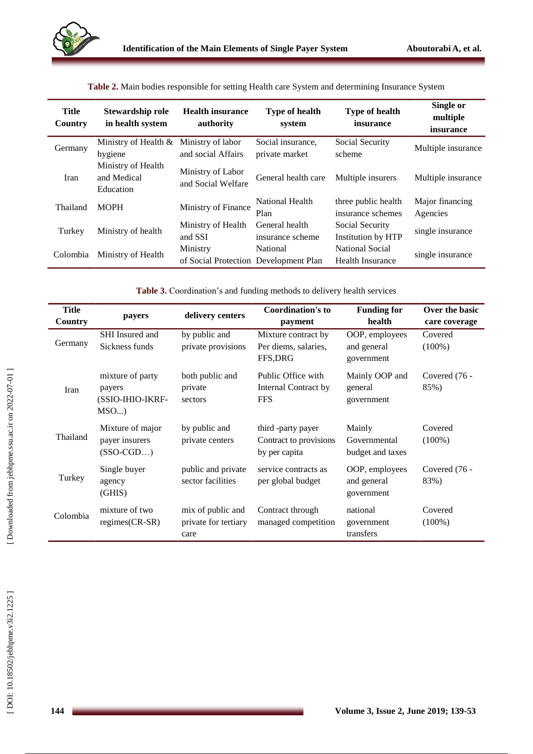| Title<br>Country | Stewardship role<br>in health system           | <b>Health insurance</b><br>authority              | <b>Type of health</b><br>system     | <b>Type of health</b><br>insurance         | Single or<br>multiple<br>insurance |
|------------------|------------------------------------------------|---------------------------------------------------|-------------------------------------|--------------------------------------------|------------------------------------|
| Germany          | Ministry of Health &<br>hygiene                | Ministry of labor<br>and social Affairs           | Social insurance,<br>private market | Social Security<br>scheme                  | Multiple insurance                 |
| Iran             | Ministry of Health<br>and Medical<br>Education | Ministry of Labor<br>and Social Welfare           | General health care                 | Multiple insurers                          | Multiple insurance                 |
| Thailand         | <b>MOPH</b>                                    | Ministry of Finance                               | National Health<br>Plan             | three public health<br>insurance schemes   | Major financing<br>Agencies        |
| Turkey           | Ministry of health                             | Ministry of Health<br>and SSI                     | General health<br>insurance scheme  | Social Security<br>Institution by HTP      | single insurance                   |
| Colombia         | Ministry of Health                             | Ministry<br>of Social Protection Development Plan | National                            | National Social<br><b>Health Insurance</b> | single insurance                   |

**Table 2.** Main bodies responsible for setting Health care System and determining Insurance System

**Table 3.** Coordination's and funding methods to delivery health services

| <b>Title</b><br>Country                        | payers                                                | delivery centers                                  | <b>Coordination's to</b><br>payment                           | <b>Funding for</b><br>health                | Over the basic<br>care coverage |
|------------------------------------------------|-------------------------------------------------------|---------------------------------------------------|---------------------------------------------------------------|---------------------------------------------|---------------------------------|
| Germany                                        | SHI Insured and<br>Sickness funds                     | by public and<br>private provisions               | Mixture contract by<br>Per diems, salaries,<br>FFS, DRG       | OOP, employees<br>and general<br>government | Covered<br>$(100\%)$            |
| Iran                                           | mixture of party<br>payers<br>(SSIO-IHIO-IKRF-<br>MSO | both public and<br>private<br>sectors             | Public Office with<br>Internal Contract by<br><b>FFS</b>      | Mainly OOP and<br>general<br>government     | Covered (76 -<br>85%)           |
| Thailand                                       | Mixture of major<br>payer insurers<br>$(SSO-CGD)$     | by public and<br>private centers                  | third -party payer<br>Contract to provisions<br>by per capita | Mainly<br>Governmental<br>budget and taxes  | Covered<br>$(100\%)$            |
| Turkey                                         | Single buyer<br>agency<br>(GHIS)                      | public and private<br>sector facilities           | service contracts as<br>per global budget                     | OOP, employees<br>and general<br>government | Covered (76 -<br>83%)           |
| mixture of two<br>Colombia<br>$regimes(CR-SR)$ |                                                       | mix of public and<br>private for tertiary<br>care | Contract through<br>managed competition                       | national<br>government<br>transfers         | Covered<br>$(100\%)$            |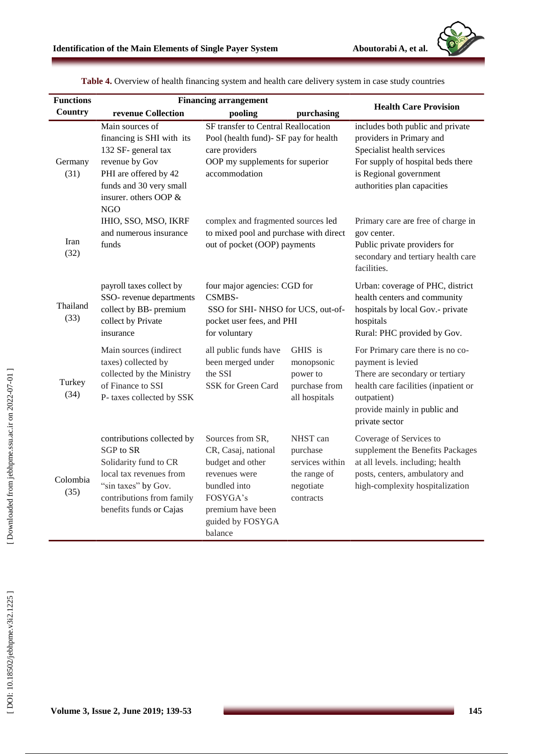

| <b>Functions</b> | <b>Financing arrangement</b>                                                                                                                                                     |                                                                                                                                                              |                                                                                   |                                                                                                                                                                                                   |  |
|------------------|----------------------------------------------------------------------------------------------------------------------------------------------------------------------------------|--------------------------------------------------------------------------------------------------------------------------------------------------------------|-----------------------------------------------------------------------------------|---------------------------------------------------------------------------------------------------------------------------------------------------------------------------------------------------|--|
| Country          | revenue Collection                                                                                                                                                               | pooling                                                                                                                                                      | purchasing                                                                        | <b>Health Care Provision</b>                                                                                                                                                                      |  |
| Germany<br>(31)  | Main sources of<br>financing is SHI with its<br>132 SF- general tax<br>revenue by Gov<br>PHI are offered by 42<br>funds and 30 very small<br>insurer. others OOP &<br><b>NGO</b> | SF transfer to Central Reallocation<br>Pool (health fund)- SF pay for health<br>care providers<br>OOP my supplements for superior<br>accommodation           |                                                                                   | includes both public and private<br>providers in Primary and<br>Specialist health services<br>For supply of hospital beds there<br>is Regional government<br>authorities plan capacities          |  |
| Iran<br>(32)     | IHIO, SSO, MSO, IKRF<br>and numerous insurance<br>funds                                                                                                                          | complex and fragmented sources led<br>to mixed pool and purchase with direct<br>out of pocket (OOP) payments                                                 |                                                                                   | Primary care are free of charge in<br>gov center.<br>Public private providers for<br>secondary and tertiary health care<br>facilities.                                                            |  |
| Thailand<br>(33) | payroll taxes collect by<br>SSO- revenue departments<br>collect by BB- premium<br>collect by Private<br>insurance                                                                | four major agencies: CGD for<br>CSMBS-<br>SSO for SHI-NHSO for UCS, out-of-<br>pocket user fees, and PHI<br>for voluntary                                    |                                                                                   | Urban: coverage of PHC, district<br>health centers and community<br>hospitals by local Gov.- private<br>hospitals<br>Rural: PHC provided by Gov.                                                  |  |
| Turkey<br>(34)   | Main sources (indirect<br>taxes) collected by<br>collected by the Ministry<br>of Finance to SSI<br>P- taxes collected by SSK                                                     | all public funds have<br>been merged under<br>the SSI<br>SSK for Green Card                                                                                  | GHIS is<br>monopsonic<br>power to<br>purchase from<br>all hospitals               | For Primary care there is no co-<br>payment is levied<br>There are secondary or tertiary<br>health care facilities (inpatient or<br>outpatient)<br>provide mainly in public and<br>private sector |  |
| Colombia<br>(35) | contributions collected by<br>SGP to SR<br>Solidarity fund to CR<br>local tax revenues from<br>"sin taxes" by Gov.<br>contributions from family<br>benefits funds or Cajas       | Sources from SR,<br>CR, Casaj, national<br>budget and other<br>revenues were<br>bundled into<br>FOSYGA's<br>premium have been<br>guided by FOSYGA<br>balance | NHST can<br>purchase<br>services within<br>the range of<br>negotiate<br>contracts | Coverage of Services to<br>supplement the Benefits Packages<br>at all levels. including; health<br>posts, centers, ambulatory and<br>high-complexity hospitalization                              |  |

**Table 4.** Overview of health financing system and health care delivery system in case study countries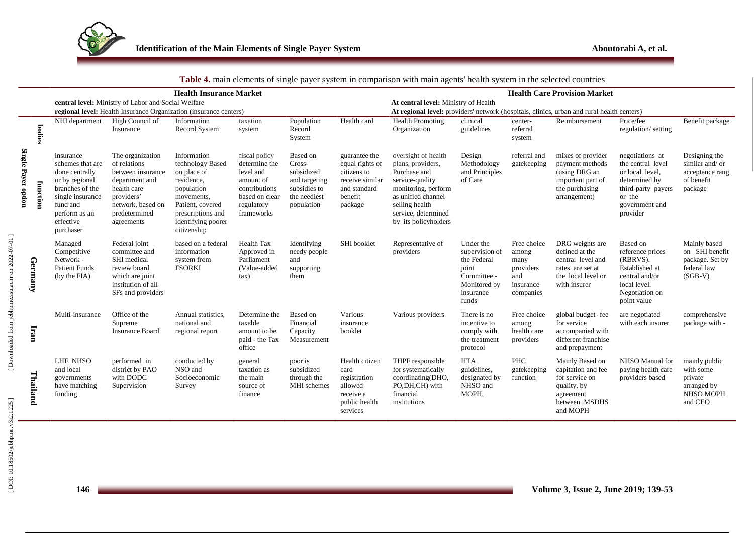

|                     |               |                                                                                                                                                                 |                                                                                                                                                          | <b>Health Insurance Market</b>                                                                                                                                         |                                                                                                                         |                                                                                                 |                                                                                                          | <b>Twore</b> it mant elements of single payer system in comparison while main agents health system in the selected countries                                                              |                                                                                                          |                                                                            | <b>Health Care Provision Market</b>                                                                              |                                                                                                                                        |                                                                               |
|---------------------|---------------|-----------------------------------------------------------------------------------------------------------------------------------------------------------------|----------------------------------------------------------------------------------------------------------------------------------------------------------|------------------------------------------------------------------------------------------------------------------------------------------------------------------------|-------------------------------------------------------------------------------------------------------------------------|-------------------------------------------------------------------------------------------------|----------------------------------------------------------------------------------------------------------|-------------------------------------------------------------------------------------------------------------------------------------------------------------------------------------------|----------------------------------------------------------------------------------------------------------|----------------------------------------------------------------------------|------------------------------------------------------------------------------------------------------------------|----------------------------------------------------------------------------------------------------------------------------------------|-------------------------------------------------------------------------------|
|                     |               |                                                                                                                                                                 | central level: Ministry of Labor and Social Welfare                                                                                                      | regional level: Health Insurance Organization (insurance centers)                                                                                                      |                                                                                                                         |                                                                                                 |                                                                                                          | At central level: Ministry of Health<br>At regional level: providers' network (hospitals, clinics, urban and rural health centers)                                                        |                                                                                                          |                                                                            |                                                                                                                  |                                                                                                                                        |                                                                               |
|                     | <b>bodies</b> | NHI department                                                                                                                                                  | High Council of<br>Insurance                                                                                                                             | Information<br>Record System                                                                                                                                           | taxation<br>system                                                                                                      | Population<br>Record<br>System                                                                  | Health card                                                                                              | <b>Health Promoting</b><br>Organization                                                                                                                                                   | clinical<br>guidelines                                                                                   | center-<br>referral<br>system                                              | Reimbursement                                                                                                    | Price/fee<br>regulation/setting                                                                                                        | Benefit package                                                               |
| Single Payer option | function      | insurance<br>schemes that are<br>done centrally<br>or by regional<br>branches of the<br>single insurance<br>fund and<br>perform as an<br>effective<br>purchaser | The organization<br>of relations<br>between insurance<br>department and<br>health care<br>providers'<br>network, based on<br>predetermined<br>agreements | Information<br>technology Based<br>on place of<br>residence,<br>population<br>movements,<br>Patient, covered<br>prescriptions and<br>identifying poorer<br>citizenship | fiscal policy<br>determine the<br>level and<br>amount of<br>contributions<br>based on clear<br>regulatory<br>frameworks | Based on<br>Cross-<br>subsidized<br>and targeting<br>subsidies to<br>the neediest<br>population | guarantee the<br>equal rights of<br>citizens to<br>receive similar<br>and standard<br>benefit<br>package | oversight of health<br>plans, providers,<br>Purchase and<br>service-quality<br>monitoring, perform<br>as unified channel<br>selling health<br>service, determined<br>by its policyholders | Design<br>Methodology<br>and Principles<br>of Care                                                       | referral and<br>gatekeeping                                                | mixes of provider<br>payment methods<br>(using DRG an<br>important part of<br>the purchasing<br>arrangement)     | negotiations at<br>the central level<br>or local level,<br>determined by<br>third-party payers<br>or the<br>government and<br>provider | Designing the<br>similar and/or<br>acceptance rang<br>of benefit<br>package   |
|                     | Germany       | Managed<br>Competitive<br>Network -<br><b>Patient Funds</b><br>(by the FIA)                                                                                     | Federal joint<br>committee and<br>SHI medical<br>review board<br>which are joint<br>institution of all<br>SFs and providers                              | based on a federal<br>information<br>system from<br><b>FSORKI</b>                                                                                                      | Health Tax<br>Approved in<br>Parliament<br>(Value-added<br>$\tan$                                                       | Identifying<br>needy people<br>and<br>supporting<br>them                                        | SHI booklet                                                                                              | Representative of<br>providers                                                                                                                                                            | Under the<br>supervision of<br>the Federal<br>joint<br>Committee -<br>Monitored by<br>insurance<br>funds | Free choice<br>among<br>many<br>providers<br>and<br>insurance<br>companies | DRG weights are<br>defined at the<br>central level and<br>rates are set at<br>the local level or<br>with insurer | Based on<br>reference prices<br>(RBRVS).<br>Established at<br>central and/or<br>local level<br>Negotiation on<br>point value           | Mainly based<br>on SHI benefit<br>package. Set by<br>federal law<br>$(SGB-V)$ |
|                     | Iran          | Multi-insurance                                                                                                                                                 | Office of the<br>Supreme<br><b>Insurance Board</b>                                                                                                       | Annual statistics,<br>national and<br>regional report                                                                                                                  | Determine the<br>taxable<br>amount to be<br>paid - the Tax<br>office                                                    | Based on<br>Financial<br>Capacity<br>Measurement                                                | Various<br>insurance<br>booklet                                                                          | Various providers                                                                                                                                                                         | There is no<br>incentive to<br>comply with<br>the treatment<br>protocol                                  | Free choice<br>among<br>health care<br>providers                           | global budget-fee<br>for service<br>accompanied with<br>different franchise<br>and prepayment                    | are negotiated<br>with each insurer                                                                                                    | comprehensive<br>package with -                                               |
|                     | Thailand      | LHF, NHSO<br>and local<br>governments<br>have matching<br>funding                                                                                               | performed in<br>district by PAO<br>with DODC<br>Supervision                                                                                              | conducted by<br>NSO and<br>Socioeconomic<br>Survey                                                                                                                     | general<br>taxation as<br>the main<br>source of<br>finance                                                              | poor is<br>subsidized<br>through the<br>MHI schemes                                             | Health citizen<br>card<br>registration<br>allowed<br>receive a<br>public health<br>services              | THPF responsible<br>for systematically<br>coordinating(DHO,<br>PO,DH,CH) with<br>financial<br>institutions                                                                                | <b>HTA</b><br>guidelines.<br>designated by<br>NHSO and<br>MOPH,                                          | <b>PHC</b><br>gatekeeping<br>function                                      | Mainly Based on<br>capitation and fee<br>for service on<br>quality, by<br>agreement<br>between MSDHS<br>and MOPH | NHSO Manual for<br>paying health care<br>providers based                                                                               | mainly public<br>with some<br>private<br>arranged by<br>NHSO MOPH<br>and CEO  |

#### **Table 4.** main elements of single payer system in comparison with main agents' health system in the selected countries

[Downloaded from jebhpme.ssu.ac.ir on 2022-07-01]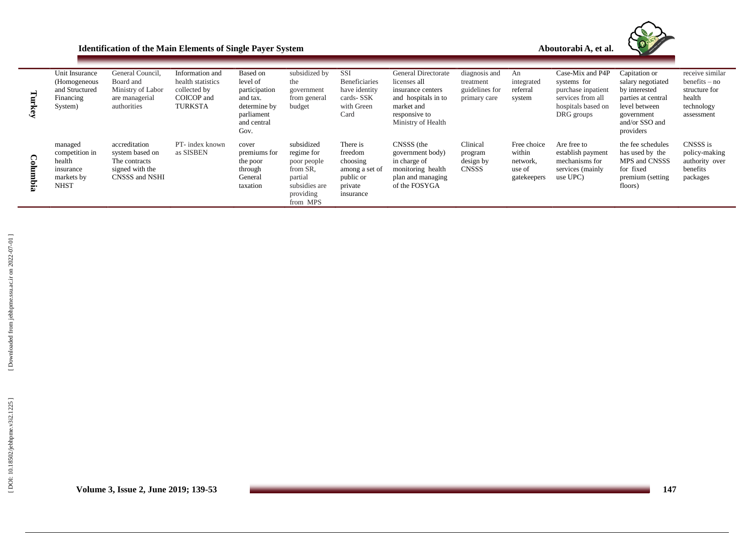| <b>Identification of the Main Elements of Single Payer System</b> | Aboutorabi |
|-------------------------------------------------------------------|------------|
|-------------------------------------------------------------------|------------|

**A, et al .**

Ce

| Turkey   | Unit Insurance<br>(Homogeneous)<br>and Structured<br>Financing<br>System)     | General Council,<br>Board and<br>Ministry of Labor<br>are managerial<br>authorities    | Information and<br>health statistics<br>collected by<br>COICOP and<br><b>TURKSTA</b> | Based on<br>level of<br>participation<br>and tax.<br>determine by<br>parliament<br>and central<br>Gov. | subsidized by<br>the<br>government<br>from general<br>budget                                             | SSI<br>Beneficiaries<br>have identity<br>cards-SSK<br>with Green<br>Card               | General Directorate<br>licenses all<br>insurance centers<br>and hospitals in to<br>market and<br>responsive to<br>Ministry of Health | diagnosis and<br>treatment<br>guidelines for<br>primary care | An<br>integrated<br>referral<br>system                     | Case-Mix and P4P<br>systems for<br>purchase inpatient<br>services from all<br>hospitals based on<br>DRG groups | Capitation or<br>salary negotiated<br>by interested<br>parties at central<br>level between<br>government<br>and/or SSO and<br>providers | receive similar<br>$benefits - no$<br>structure for<br>health<br>technology<br>assessment |
|----------|-------------------------------------------------------------------------------|----------------------------------------------------------------------------------------|--------------------------------------------------------------------------------------|--------------------------------------------------------------------------------------------------------|----------------------------------------------------------------------------------------------------------|----------------------------------------------------------------------------------------|--------------------------------------------------------------------------------------------------------------------------------------|--------------------------------------------------------------|------------------------------------------------------------|----------------------------------------------------------------------------------------------------------------|-----------------------------------------------------------------------------------------------------------------------------------------|-------------------------------------------------------------------------------------------|
| Columbia | managed<br>competition in<br>health<br>insurance<br>markets by<br><b>NHST</b> | accreditation<br>system based on<br>The contracts<br>signed with the<br>CNSSS and NSHI | PT- index known<br>as SISBEN                                                         | cover<br>premiums for<br>the poor<br>through<br>General<br>taxation                                    | subsidized<br>regime for<br>poor people<br>from SR,<br>partial<br>subsidies are<br>providing<br>from MPS | There is<br>freedom<br>choosing<br>among a set of<br>public or<br>private<br>insurance | CNSSS (the<br>government body)<br>in charge of<br>monitoring health<br>plan and managing<br>of the FOSYGA                            | Clinical<br>program<br>design by<br><b>CNSSS</b>             | Free choice<br>within<br>network,<br>use of<br>gatekeepers | Are free to<br>establish payment<br>mechanisms for<br>services (mainly<br>use UPC)                             | the fee schedules<br>has used by the<br>MPS and CNSSS<br>for fixed<br>premium (setting)<br>floors)                                      | CNSSS is<br>policy-making<br>authority over<br>benefits<br>packages                       |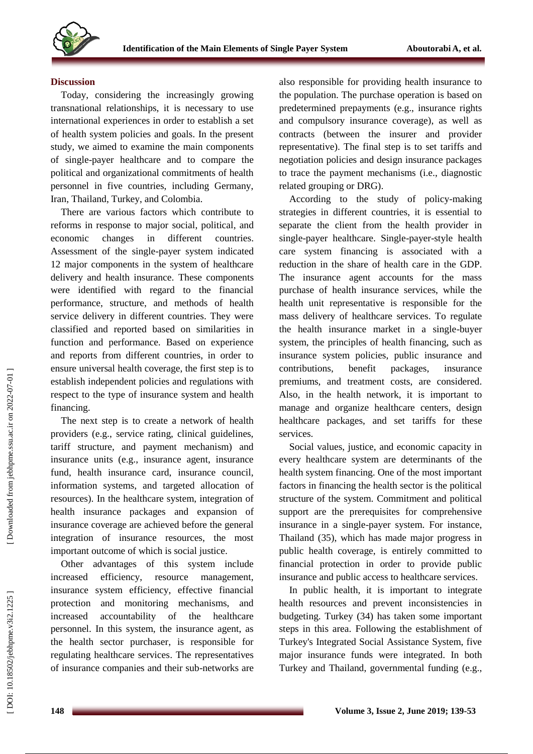

### **Discussion**

Today, considering the increasingly growing transnational relationships, it is necessary to use international experiences in order to establish a set of health system policies and goals. In the present study, we aimed to examine the main components of single -payer healthcare and to compare the political and organizational commitments of health personnel in five countries, including Germany, Iran, Thailand, Turkey, and Colombia.

There are various factors which contribute to reforms in response to major social, political, and economic changes in different countries. Assessment of the single -payer system indicated 12 major components in the system of healthcare delivery and health insurance. These components were identified with regard to the financial performance, structure, and methods of health service delivery in different countries. They were classified and reported based on similarities in function and performance. Based on experience and reports from different countries, in order to ensure universal health coverage, the first step is to establish independent policies and regulations with respect to the type of insurance system and health financing.

The next step is to create a network of health providers (e.g., service rating, clinical guidelines, tariff structure, and payment mechanism) and insurance units (e.g., insurance agent, insurance fund, health insurance card, insurance council, information systems, and targeted allocation of resources). In the healthcare system, integration of health insurance packages and expansion of insurance coverage are achieved before the general integration of insurance resources, the most important outcome of which is social justice.

Other advantages of this system include increased efficiency, resource management, insurance system efficiency, effective financial protection and monitoring mechanisms, and increased accountability of the healthcare personnel. In this system, the insurance agent, as the health sector purchaser, is responsible for regulating healthcare services. The representatives of insurance companies and their sub -networks are also responsible for providing health insurance to the population. The purchase operation is based on predetermined prepayments (e.g., insurance rights and compulsory insurance coverage), as well as contracts (between the insurer and provider representative). The final step is to set tariffs and negotiation policies and design insurance packages to trace the payment mechanisms (i.e., diagnostic related grouping or DRG).

According to the study of policy -making strategies in different countries, it is essential to separate the client from the health provider in single -payer healthcare. Single -payer -style health care system financing is associated with a reduction in the share of health care in the GDP. The insurance agent accounts for the mass purchase of health insurance services, while the health unit representative is responsible for the mass delivery of healthcare services. To regulate the health insurance market in a single -buyer system, the principles of health financing, such as insurance system policies, public insurance and contributions, benefit packages, insurance premiums, and treatment costs, are considered. Also, in the health network, it is important to manage and organize healthcare centers, design healthcare packages, and set tariffs for these services.

Social values, justice, and economic capacity in every healthcare system are determinants of the health system financing. One of the most important factors in financing the health sector is the political structure of the system. Commitment and political support are the prerequisites for comprehensive insurance in a single -payer system. For instance, Thailand ( 3 5 ), which has made major progress in public health coverage, is entirely committed to financial protection in order to provide public insurance and public access to healthcare services.

In public health, it is important to integrate health resources and prevent inconsistencies in budgeting. Turkey ( 3 4 ) has taken some important steps in this area. Following the establishment of Turkey's Integrated Social Assistance System, five major insurance funds were integrated. In both Turkey and Thailand, governmental funding (e.g.,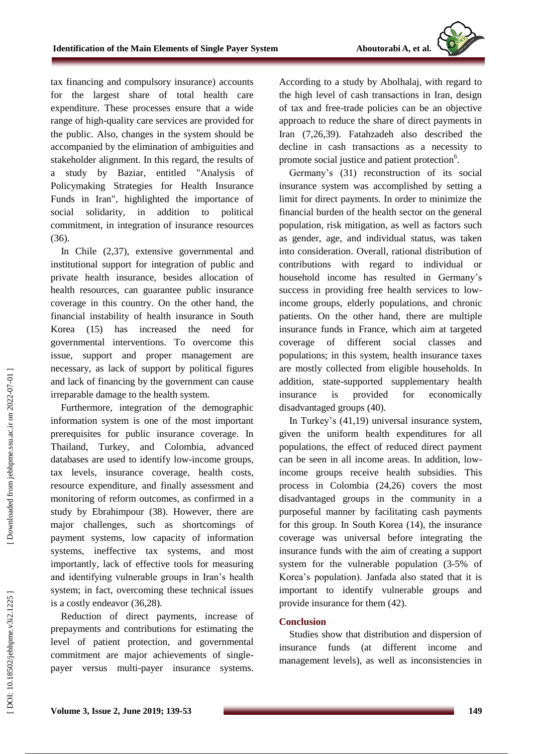tax financing and compulsory insurance) accounts for the largest share of total health care expenditure. These processes ensure that a wide range of high -quality care services are provided for the public. Also, changes in the system should be accompanied by the elimination of ambiguities and stakeholder alignment. In this regard, the results of a study by Baziar, entitled "Analysis of Policymaking Strategies for Health Insurance Funds in Iran", highlighted the importance of social solidarity, in addition to political commitment, in integration of insurance resources (36).

In Chile (2,3 7 ), extensive governmental and institutional support for integration of public and private health insurance, besides allocation of health resources, can guarantee public insurance coverage in this country. On the other hand, the financial instability of health insurance in South Korea ( 1 5 ) has increased the need for governmental interventions. To overcome this issue, support and proper management are necessary, as lack of support by political figures and lack of financing by the government can cause irreparable damage to the health system.

Furthermore, integration of the demographic information system is one of the most important prerequisites for public insurance coverage. In Thailand, Turkey, and Colombia, advanced databases are used to identify low -income groups, tax levels, insurance coverage, health costs, resource expenditure, and finally assessment and monitoring of reform outcomes, as confirmed in a study by Ebrahimpour ( 3 8 ). However, there are major challenges, such as shortcomings of payment systems, low capacity of information systems, ineffective tax systems, and most importantly, lack of effective tools for measuring and identifying vulnerable groups in Iran's health system; in fact, overcoming these technical issues is a costly endeavor (36,28).

Reduction of direct payments, increase of prepayments and contributions for estimating the level of patient protection, and governmental commitment are major achievements of single payer versus multi -payer insurance systems. According to a study by Abolhalaj, with regard to the high level of cash transactions in Iran, design of tax and free -trade policies can be an objective approach to reduce the share of direct payments in Iran (7,2 6 ,39 ). Fatahzadeh also described the decline in cash transactions as a necessity to promote social justice and patient protection<sup>6</sup>.

Germany's (31) reconstruction of its social insurance system was accomplished by setting a limit for direct payments. In order to minimize the financial burden of the health sector on the general population, risk mitigation, as well as factors such as gender, age, and individual status, was taken into consideration. Overall, rational distribution of contributions with regard to individual household income has resulted in Germany's success in providing free health services to lowincome groups, elderly populations, and chronic patients. On the other hand, there are multiple insurance funds in France, which aim at targeted coverage of different social classes and populations; in this system, health insurance taxes are mostly collected from eligible households. In addition, state -supported supplementary health insurance is provided for economically disadvantaged groups (40).

In Turkey's ( 4 1 ,19 ) universal insurance system, given the uniform health expenditures for all populations, the effect of reduced direct payment can be seen in all income areas. In addition, low income groups receive health subsidies. This process in Colombia ( 2 4,26) covers the most disadvantaged groups in the community in a purposeful manner by facilitating cash payments for this group. In South Korea ( 1 4 ), the insurance coverage was universal before integrating the insurance funds with the aim of creating a support system for the vulnerable population (3 -5% of Korea's population). Janfada also stated that it is important to identify vulnerable groups and provide insurance for them  $(42)$ .

# **Conclusion**

Studies show that distribution and dispersion of insurance funds (at different income and management levels), as well as inconsistencies in

DOI: 10.18502/jebhpme.v3i2.1225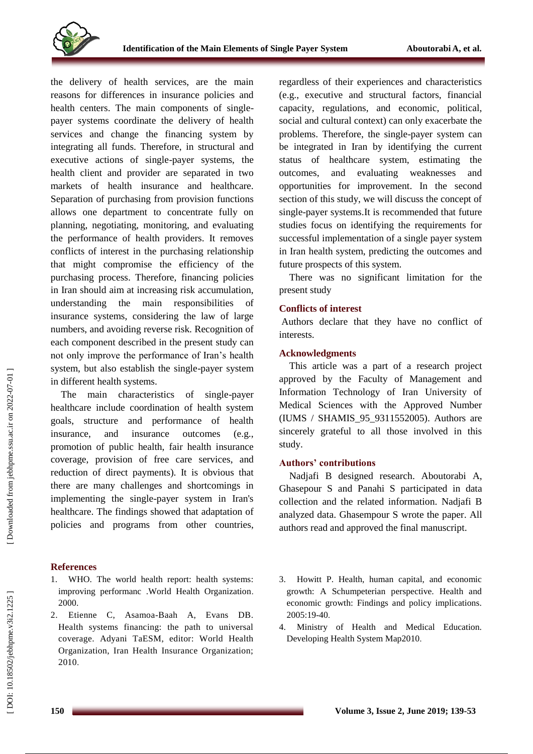

the delivery of health services, are the main reasons for differences in insurance policies and health centers. The main components of singlepayer systems coordinate the delivery of health services and change the financing system by integrating all funds. Therefore, in structural and executive actions of single -payer systems, the health client and provider are separated in two markets of health insurance and healthcare. Separation of purchasing from provision functions allows one department to concentrate fully on planning, negotiating, monitoring, and evaluating the performance of health providers. It removes conflicts of interest in the purchasing relationship that might compromise the efficiency of the purchasing process. Therefore, financing policies in Iran should aim at increasing risk accumulation, understanding the main responsibilities of insurance systems, considering the law of large numbers, and avoiding reverse risk. Recognition of each component described in the present study can not only improve the performance of Iran's health system, but also establish the single -payer system in different health systems.

The main characteristics of single -payer healthcare include coordination of health system goals, structure and performance of health insurance, and insurance outcomes (e.g., promotion of public health, fair health insurance coverage, provision of free care services, and reduction of direct payments). It is obvious that there are many challenges and shortcomings in implementing the single -payer system in Iran's healthcare. The findings showed that adaptation of policies and programs from other countries,

# **References**

- 1. WHO. The world health report: health systems: improving performanc .World Health Organization . 2000.
- 2. Etienne C, Asamoa -Baah A, Evans DB. Health systems financing: the path to universal coverage. Adyani TaESM, editor: World Health Organization, Iran Health Insurance Organization; 2010 .

regardless of their experiences and characteristics (e.g., executive and structural factors, financial capacity, regulations, and economic, political, social and cultural context) can only exacerbate the problems. Therefore, the single -payer system can be integrated in Iran by identifying the current status of healthcare system, estimating the outcomes, and evaluating weaknesses and opportunities for improvement. In the second section of this study, we will discuss the concept of single -payer systems.It is recommended that future studies focus on identifying the requirements for successful implementation of a single payer system in Iran health system, predicting the outcomes and future prospects of this system.

There was no significant limitation for the present study

### **Conflicts of interest**

Authors declare that they have no conflict of interests .

### **Acknowledgments**

This article was a part of a research project approved by the Faculty of Management and Information Technology of Iran University of Medical Sciences with the Approved Number (IUMS / SHAMIS\_95\_9311552005). Authors are sincerely grateful to all those involved in this study .

# **Authors' contributions**

Nadjafi B designed research. Aboutorabi A, Ghasepour S and Panahi S participated in data collection and the related information. Nadjafi B analyzed data. Ghasempour S wrote the paper. All authors read and approved the final manuscript.

- 3. Howitt P. Health, human capital, and economic growth: A Schumpeterian perspective. Health and economic growth: Findings and policy implications. 2005:19 -40 .
- 4. Ministry of Health and Medical Education. Developing Health System Map2010 .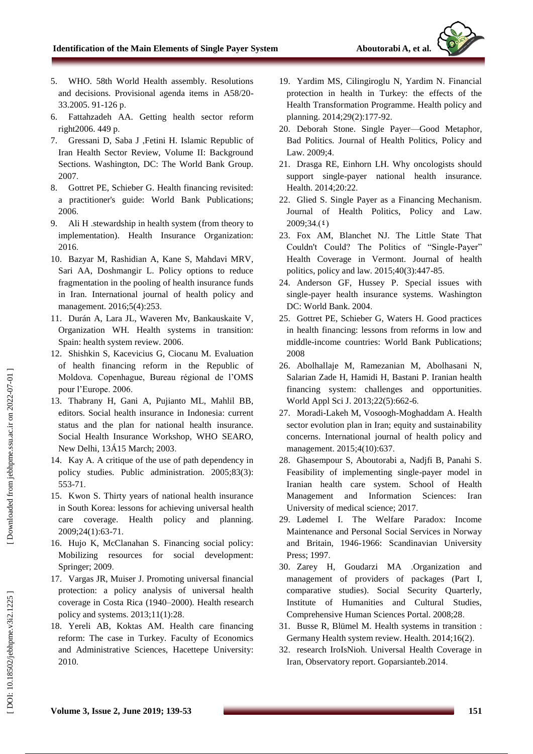- 5. WHO. 58th World Health assembly. Resolutions and decisions. Provisional agenda items in A58/20 - 33.2005. 91-126 p.
- 6. Fattahzadeh AA. Getting health sector reform right2006. 449 p .
- 7. Gressani D, Saba J ,Fetini H. Islamic Republic of Iran Health Sector Review, Volume II: Background Sections. Washington, DC: The World Bank Group. 2007 .
- 8. Gottret PE, Schieber G. Health financing revisited: a practitioner's guide: World Bank Publications; 2006 .
- 9. Ali H .stewardship in health system (from theory to implementation). Health Insurance Organization: 2016 .
- 10. Bazyar M, Rashidian A, Kane S, Mahdavi MRV, Sari AA, Doshmangir L. Policy options to reduce fragmentation in the pooling of health insurance funds in Iran. International journal of health policy and management. 2016;5(4):253.
- 11. Durán A, Lara JL, Waveren Mv, Bankauskaite V, Organization WH. Health systems in transition: Spain: health system review. 2006 .
- 12. Shishkin S, Kacevicius G, Ciocanu M. Evaluation of health financing reform in the Republic of Moldova. Copenhague, Bureau régional de l'OMS pour l'Europe. 2006 .
- 13. Thabrany H, Gani A, Pujianto ML, Mahlil BB, editors. Social health insurance in Indonesia: current status and the plan for national health insurance. Social Health Insurance Workshop, WHO SEARO, New Delhi, 13Á15 March; 2003 .
- 14. Kay A. A critique of the use of path dependency in policy studies. Public administration. 2005;83(3): 553 -71 .
- 15. Kwon S. Thirty years of national health insurance in South Korea: lessons for achieving universal health care coverage. Health policy and planning. 2009;24(1):63 -71 .
- 16. Hujo K, McClanahan S. Financing social policy: Mobilizing resources for social development: Springer; 2009 .
- 17. Vargas JR, Muiser J. Promoting universal financial protection: a policy analysis of universal health coverage in Costa Rica (1940 –2000). Health research policy and systems. 2013;11(1):28 .
- 18. Yereli AB, Koktas AM. Health care financing reform: The case in Turkey. Faculty of Economics and Administrative Sciences, Hacettepe University: 2010 .
- 19. Yardim MS, Cilingiroglu N, Yardim N. Financial protection in health in Turkey: the effects of the Health Transformation Programme. Health policy and planning. 2014;29(2):177 -92 .
- 20. Deborah Stone. Single Payer —Good Metaphor, Bad Politics. Journal of Health Politics, Policy and Law. 2009;4 .
- 21. Drasga RE, Einhorn LH. Why oncologists should support single -payer national health insurance. Health. 2014;20:22 .
- 22. Glied S. Single Payer as a Financing Mechanism. Journal of Health Politics, Policy and Law.  $2009;34(5)$
- 23. Fox AM, Blanchet NJ. The Little State That Couldn't Could? The Politics of "Single-Payer" Health Coverage in Vermont. Journal of health politics, policy and law. 2015;40(3):447 -85 .
- 24. Anderson GF, Hussey P. Special issues with single - payer health insurance systems. Washington DC: World Bank. 2004 .
- 25. Gottret PE, Schieber G, Waters H. Good practices in health financing: lessons from reforms in low and middle -income countries: World Bank Publications; 2008
- 26. Abolhallaje M, Ramezanian M, Abolhasani N, Salarian Zade H, Hamidi H, Bastani P. Iranian health financing system: challenges and opportunities. World Appl Sci J. 2013;22(5):662-6.
- 27. Moradi -Lakeh M, Vosoogh -Moghaddam A. Health sector evolution plan in Iran; equity and sustainability concerns. International journal of health policy and management. 2015;4(10):637 .
- 28. Ghasempour S, Aboutorabi a, Nadjfi B, Panahi S. Feasibility of implementing single -payer model in Iranian health care system. School of Health Management and Information Sciences: Iran University of medical science; 2017 .
- 29. Lødemel I. The Welfare Paradox: Income Maintenance and Personal Social Services in Norway and Britain, 1946 -1966: Scandinavian University Press; 1997 .
- 30. Zarey H, Goudarzi MA .Organization and management of providers of packages (Part I, comparative studies). Social Security Quarterly, Institute of Humanities and Cultural Studies, Comprehensive Human Sciences Portal. 2008;28 .
- 31. Busse R, Blümel M. Health systems in transition : Germany Health system review. Health. 2014;16(2) .
- 32. research IroIsNioh. Universal Health Coverage in Iran, Observatory report. Goparsianteb.2014 .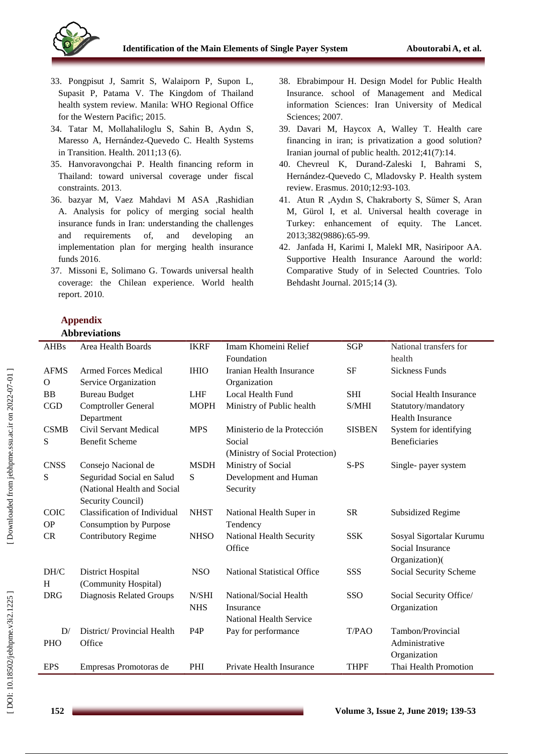

- 33. Pongpisut J, Samrit S, Walaiporn P, Supon L, Supasit P, Patama V. The Kingdom of Thailand health system review. Manila: WHO Regional Office for the Western Pacific; 2015 .
- 34. Tatar M, Mollahaliloglu S, Sahin B, Aydın S, Maresso A, Hernández -Quevedo C. Health Systems in Transition. Health. 2011;13 (6).
- 35. Hanvoravongchai P. Health financing reform in Thailand: toward universal coverage under fiscal constraints. 2013 .
- 36. bazyar M, Vaez Mahdavi M ASA ,Rashidian A. Analysis for policy of merging social health insurance funds in Iran: understanding the challenges and requirements of, and developing an implementation plan for merging health insurance funds 2016 .
- 37. Missoni E, Solimano G. Towards universal health coverage: the Chilean experience. World health report. 2010 .
- 38. Ebrabimpour H. Design Model for Public Health Insurance. school of Management and Medical information Sciences: Iran University of Medical Sciences; 2007.
- 39. Davari M, Haycox A, Walley T. Health care financing in iran; is privatization a good solution? Iranian journal of public health. 2012;41(7):14 .
- 40. Chevreul K, Durand -Zaleski I, Bahrami S, Hernández -Quevedo C, Mladovsky P. Health system review. Erasmus. 2010;12:93 -103 .
- 41. Atun R ,Aydın S, Chakraborty S, Sümer S, Aran M, Gürol I, et al. Universal health coverage in Turkey: enhancement of equity. The Lancet. 2013;382(9886):65 -99 .
- 42. Janfada H, Karimi I, MalekI MR, Nasiripoor AA. Supportive Health Insurance Aaround the world: Comparative Study of in Selected Countries. Tolo Behdasht Journal. 2015;14 (3).

# **Appendix Abbreviations**

| <b>AHBs</b> | Area Health Boards           | <b>IKRF</b>      | Imam Khomeini Relief               | <b>SGP</b>    | National transfers for   |
|-------------|------------------------------|------------------|------------------------------------|---------------|--------------------------|
|             |                              |                  | Foundation                         |               | health                   |
| <b>AFMS</b> | <b>Armed Forces Medical</b>  | <b>IHIO</b>      | Iranian Health Insurance           | <b>SF</b>     | <b>Sickness Funds</b>    |
| $\mathbf O$ | Service Organization         |                  | Organization                       |               |                          |
| <b>BB</b>   | <b>Bureau Budget</b>         | <b>LHF</b>       | Local Health Fund                  | <b>SHI</b>    | Social Health Insurance  |
| <b>CGD</b>  | <b>Comptroller General</b>   | <b>MOPH</b>      | Ministry of Public health          | S/MHI         | Statutory/mandatory      |
|             | Department                   |                  |                                    |               | <b>Health Insurance</b>  |
| <b>CSMB</b> | <b>Civil Servant Medical</b> | <b>MPS</b>       | Ministerio de la Protección        | <b>SISBEN</b> | System for identifying   |
| S           | <b>Benefit Scheme</b>        |                  | Social                             |               | <b>Beneficiaries</b>     |
|             |                              |                  | (Ministry of Social Protection)    |               |                          |
| <b>CNSS</b> | Consejo Nacional de          | <b>MSDH</b>      | Ministry of Social                 | $S-PS$        | Single- payer system     |
| S           | Seguridad Social en Salud    | S                | Development and Human              |               |                          |
|             | (National Health and Social  |                  | Security                           |               |                          |
|             | Security Council)            |                  |                                    |               |                          |
| <b>COIC</b> | Classification of Individual | <b>NHST</b>      | National Health Super in           | <b>SR</b>     | Subsidized Regime        |
| <b>OP</b>   | Consumption by Purpose       |                  | Tendency                           |               |                          |
| CR          | <b>Contributory Regime</b>   | <b>NHSO</b>      | National Health Security           | <b>SSK</b>    | Sosyal Sigortalar Kurumu |
|             |                              |                  | Office                             |               | Social Insurance         |
|             |                              |                  |                                    |               | Organization)(           |
| DH/C        | <b>District Hospital</b>     | <b>NSO</b>       | <b>National Statistical Office</b> | <b>SSS</b>    | Social Security Scheme   |
| H           | (Community Hospital)         |                  |                                    |               |                          |
| <b>DRG</b>  | Diagnosis Related Groups     | N/SHI            | National/Social Health             | SSO           | Social Security Office/  |
|             |                              | <b>NHS</b>       | Insurance                          |               | Organization             |
|             |                              |                  | <b>National Health Service</b>     |               |                          |
| D/          | District/ Provincial Health  | P <sub>4</sub> P | Pay for performance                | T/PAO         | Tambon/Provincial        |
| <b>PHO</b>  | Office                       |                  |                                    |               | Administrative           |
|             |                              |                  |                                    |               | Organization             |
| <b>EPS</b>  | Empresas Promotoras de       | PHI              | Private Health Insurance           | <b>THPF</b>   | Thai Health Promotion    |